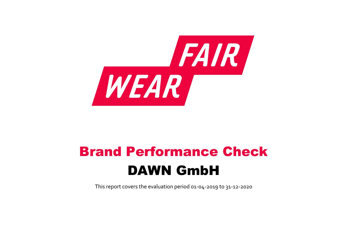

# Brand Performance Check DAWN GmbH

This report covers the evaluation period 01‐04‐2019 to 31‐12‐2020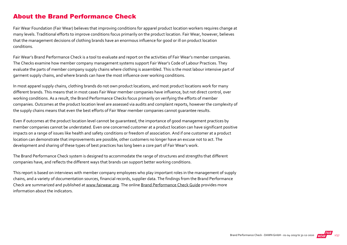## About the Brand Performance Check

Fair Wear Foundation (Fair Wear) believes that improving conditions for apparel product location workers requires change at many levels. Traditional efforts to improve conditions focus primarily on the product location. Fair Wear, however, believes that the management decisions of clothing brands have an enormous influence for good or ill on product location conditions.

Fair Wear's Brand Performance Check is a tool to evaluate and report on the activities of Fair Wear's member companies. The Checks examine how member company management systems support Fair Wear's Code of Labour Practices. They evaluate the parts of member company supply chains where clothing is assembled. This is the most labour intensive part of garment supply chains, and where brands can have the most influence over working conditions.

In most apparel supply chains, clothing brands do not own product locations, and most product locations work for many different brands. This means that in most cases Fair Wear member companies have influence, but not direct control, over working conditions. As a result, the Brand Performance Checks focus primarily on verifying the efforts of member companies. Outcomes at the product location level are assessed via audits and complaint reports, however the complexity of the supply chains means that even the best efforts of Fair Wear member companies cannot guarantee results.

Even if outcomes at the product location level cannot be guaranteed, the importance of good management practices by member companies cannot be understated. Even one concerned customer at a product location can have significant positive impacts on a range of issues like health and safety conditions or freedom of association. And if one customer at a product location can demonstrate that improvements are possible, other customers no longer have an excuse not to act. The development and sharing of these types of best practices has long been a core part of Fair Wear's work.

The Brand Performance Check system is designed to accommodate the range of structures and strengths that different companies have, and reflects the different ways that brands can support better working conditions.

This report is based on interviews with member company employees who play important roles in the management of supply chains, and a variety of documentation sources, financial records, supplier data. The findings from the Brand Performance Check are summarized and published at [www.fairwear.org](http://www.fairwear.org/). The online [Brand Performance Check Guide](https://api.fairwear.org/wp-content/uploads/2020/03/FWF_BrandPerformanceCheckGuide-DEF.pdf) provides more information about the indicators.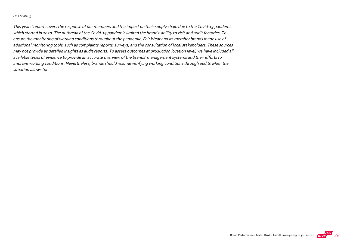#### On COVID‐19

This years' report covers the response of our members and the impact on their supply chain due to the Covid‐19 pandemic which started in 2020. The outbreak of the Covid‐19 pandemic limited the brands' ability to visit and audit factories. To ensure the monitoring of working conditions throughout the pandemic, Fair Wear and its member brands made use of additional monitoring tools, such as complaints reports, surveys, and the consultation of local stakeholders. These sources may not provide as detailed insights as audit reports. To assess outcomes at production location level, we have included all available types of evidence to provide an accurate overview of the brands' management systems and their efforts to improve working conditions. Nevertheless, brands should resume verifying working conditions through audits when the situation allows for.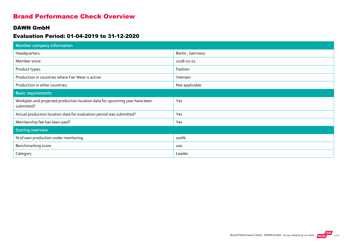## Brand Performance Check Overview

#### DAWN GmbH

#### Evaluation Period: 01-04-2019 to 31-12-2020

| <b>Member company information</b>                                                         |                 |
|-------------------------------------------------------------------------------------------|-----------------|
| Headquarters:                                                                             | Berlin, Germany |
| Member since:                                                                             | 2018-01-01      |
| Product types:                                                                            | Fashion         |
| Production in countries where Fair Wear is active:                                        | Vietnam         |
| Production in other countries:                                                            | Not applicable  |
| <b>Basic requirements</b>                                                                 |                 |
| Workplan and projected production location data for upcoming year have been<br>submitted? | Yes             |
| Actual production location data for evaluation period was submitted?                      | Yes             |
| Membership fee has been paid?                                                             | Yes             |
| <b>Scoring overview</b>                                                                   |                 |
| % of own production under monitoring                                                      | 100%            |
| Benchmarking score                                                                        | 100             |
| Category                                                                                  | Leader          |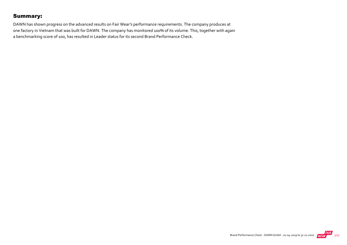## Summary:

DAWN has shown progress on the advanced results on Fair Wear's performance requirements. The company produces at one factory in Vietnam that was built for DAWN. The company has monitored 100% of its volume. This, together with again a benchmarking score of 100, has resulted in Leader status for its second Brand Performance Check.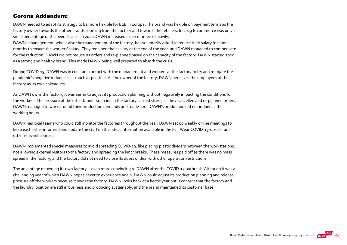#### Corona Addendum:

DAWN needed to adapt its strategy to be more flexible for B2B in Europe. The brand was flexible on payment terms as the factory owner towards the other brands sourcing from the factory and towards the retailers. In 2019 E‐commerce was only a small percentage of the overall sales. In 2020 DAWN increased its e‐commerce heavily.

DAWN's management, who is also the management of the factory, has voluntarily asked to reduce their salary for some months to ensure the workers' salary. They regained their salary at the end of the year, and DAWN managed to compensate for the reduction. DAWN did not reduce its orders and re-planned based on the capacity of the factory. DAWN started 2020 as a strong and healthy brand. This made DAWN being well prepared to absorb the crisis.

During COVID‐19, DAWN was in constant contact with the management and workers at the factory to try and mitigate the pandemic's negative influences as much as possible. As the owner of the factory, DAWN perceives the employees at the factory as its own colleagues.

As DAWN owns the factory, it was easier to adjust its production planning without negatively impacting the conditions for the workers. The pressure of the other brands sourcing in the factory caused stress, as they cancelled and re‐planned orders. DAWN managed to work around their production demands and made sure DAWN's production did not influence the working hours.

DAWN has local teams who could still monitor the factories throughout the year. DAWN set up weekly online meetings to keep each other informed and update the staff on the latest information available in the Fair Wear COVID‐19‐dossier and other relevant sources.

DAWN implemented special measures to avoid spreading COVID-19, like placing plastic dividers between the workstations, not allowing external visitors to the factory and spreading the lunchbreaks. These measures paid off as there was no mass spread in the factory, and the factory did not need to close its doors or deal with other operation restrictions.

The advantage of owning its own factory is even more convincing to DAWN after the COVID‐19 outbreak. Although it was a challenging year of which DAWN hopes never to experience again, DAWN could adjust its production planning and release pressure off the workers because it owns the factory. DAWN looks back at a hectic year but is content that the factory and the laundry location are still in business and producing sustainably, and the brand maintained its customer base.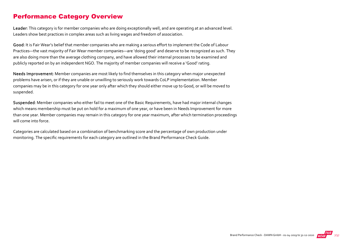## Performance Category Overview

Leader: This category is for member companies who are doing exceptionally well, and are operating at an advanced level. Leaders show best practices in complex areas such as living wages and freedom of association.

Good: It is Fair Wear's belief that member companies who are making a serious effort to implement the Code of Labour Practices—the vast majority of Fair Wear member companies—are 'doing good' and deserve to be recognized as such. They are also doing more than the average clothing company, and have allowed their internal processes to be examined and publicly reported on by an independent NGO. The majority of member companies will receive a 'Good' rating.

Needs Improvement: Member companies are most likely to find themselves in this category when major unexpected problems have arisen, or if they are unable or unwilling to seriously work towards CoLP implementation. Member companies may be in this category for one year only after which they should either move up to Good, or will be moved to suspended.

Suspended: Member companies who either fail to meet one of the Basic Requirements, have had major internal changes which means membership must be put on hold for a maximum of one year, or have been in Needs Improvement for more than one year. Member companies may remain in this category for one year maximum, after which termination proceedings will come into force.

Categories are calculated based on a combination of benchmarking score and the percentage of own production under monitoring. The specific requirements for each category are outlined in the Brand Performance Check Guide.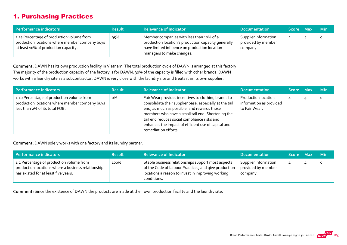## 1. Purchasing Practices

| Performance indicators                                                                                                              | <b>Result</b> | <b>Relevance of Indicator</b>                                                                                                                                                 | <b>Documentation</b>                                   | Score Max | <b>Min</b> |
|-------------------------------------------------------------------------------------------------------------------------------------|---------------|-------------------------------------------------------------------------------------------------------------------------------------------------------------------------------|--------------------------------------------------------|-----------|------------|
| 1.1a Percentage of production volume from<br>production locations where member company buys<br>at least 10% of production capacity. | 95%           | Member companies with less than 10% of a<br>production location's production capacity generally<br>have limited influence on production location<br>managers to make changes. | Supplier information<br>provided by member<br>company. | 4         | $\circ$    |

Comment: DAWN has its own production facility in Vietnam. The total production cycle of DAWN is arranged at this factory. The majority of the production capacity of the factory is for DAWN. 30% of the capacity is filled with other brands. DAWN works with a laundry site as a subcontractor. DAWN is very close with the laundry site and treats it as its own supplier.

| Performance indicators                                                                                                        | <b>Result</b> | <b>Relevance of Indicator</b>                                                                                                                                                                                                                                                                                                                     | <b>Documentation</b>                                                   | Score Max | <b>Min</b> |
|-------------------------------------------------------------------------------------------------------------------------------|---------------|---------------------------------------------------------------------------------------------------------------------------------------------------------------------------------------------------------------------------------------------------------------------------------------------------------------------------------------------------|------------------------------------------------------------------------|-----------|------------|
| 1.1b Percentage of production volume from<br>production locations where member company buys<br>less than 2% of its total FOB. | о%            | Fair Wear provides incentives to clothing brands to<br>consolidate their supplier base, especially at the tail<br>end, as much as possible, and rewards those<br>members who have a small tail end. Shortening the<br>tail end reduces social compliance risks and<br>enhances the impact of efficient use of capital and<br>remediation efforts. | <b>Production location</b><br>information as provided<br>to Fair Wear. | 4         | O          |

Comment: DAWN solely works with one factory and its laundry partner.

| Performance indicators                                                                                                                 | <b>Result</b> | <b>Relevance of Indicator</b>                                                                                                                                                  | <b>Documentation</b>                                   | Score Max | <b>Min</b> |
|----------------------------------------------------------------------------------------------------------------------------------------|---------------|--------------------------------------------------------------------------------------------------------------------------------------------------------------------------------|--------------------------------------------------------|-----------|------------|
| 1.2 Percentage of production volume from<br>production locations where a business relationship<br>has existed for at least five years. | 100%          | Stable business relationships support most aspects<br>of the Code of Labour Practices, and give production<br>locations a reason to invest in improving working<br>conditions. | Supplier information<br>provided by member<br>company. | 4         |            |

Comment: Since the existence of DAWN the products are made at their own production facility and the laundry site.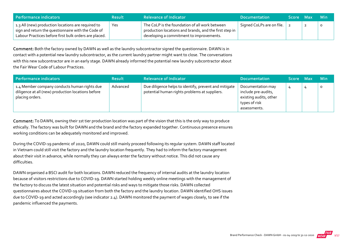| <b>Performance indicators</b>                                                                                                                                     | <b>Result</b> | <b>Relevance of Indicator</b>                                                                                                                        | <b>Documentation</b>              | <b>\Score</b> \ | - Max | ⊟ Min∶ |
|-------------------------------------------------------------------------------------------------------------------------------------------------------------------|---------------|------------------------------------------------------------------------------------------------------------------------------------------------------|-----------------------------------|-----------------|-------|--------|
| 1.3 All (new) production locations are required to<br>sign and return the questionnaire with the Code of<br>Labour Practices before first bulk orders are placed. | Yes           | The CoLP is the foundation of all work between<br>production locations and brands, and the first step in<br>developing a commitment to improvements. | Signed CoLPs are on file. $\vert$ |                 |       |        |

Comment: Both the factory owned by DAWN as well as the laundry subcontractor signed the questionnaire. DAWN is in contact with a potential new laundry subcontractor, as the current laundry partner might want to close. The conversations with this new subcontractor are in an early stage. DAWN already informed the potential new laundry subcontractor about the Fair Wear Code of Labour Practices.

| Performance indicators                                                                                                | <b>Result</b> | <b>Relevance of Indicator</b>                                                                          | <b>Documentation</b>                                                                                | Score Max | <b>Min</b> |
|-----------------------------------------------------------------------------------------------------------------------|---------------|--------------------------------------------------------------------------------------------------------|-----------------------------------------------------------------------------------------------------|-----------|------------|
| 1.4 Member company conducts human rights due<br>diligence at all (new) production locations before<br>placing orders. | Advanced      | Due diligence helps to identify, prevent and mitigate<br>potential human rights problems at suppliers. | Documentation may<br>include pre-audits,<br>existing audits, other<br>types of risk<br>assessments. |           | $\circ$    |

Comment: To DAWN, owning their 1st tier production location was part of the vision that this is the only way to produce ethically. The factory was built for DAWN and the brand and the factory expanded together. Continuous presence ensures working conditions can be adequately monitored and improved.

During the COVID‐19 pandemic of 2020, DAWN could still mainly proceed following its regular system. DAWN staff located in Vietnam could still visit the factory and the laundry location frequently. They had to inform the factory management about their visit in advance, while normally they can always enter the factory without notice. This did not cause any difficulties.

DAWN organised a BSCI audit for both locations. DAWN reduced the frequency of internal audits at the laundry location because of visitors restrictions due to COVID‐19. DAWN started holding weekly online meetings with the management of the factory to discuss the latest situation and potential risks and ways to mitigate those risks. DAWN collected questionnaires about the COVID‐19 situation from both the factory and the laundry location. DAWN identified OHS issues due to COVID‐19 and acted accordingly (see indicator 2.4). DAWN monitored the payment of wages closely, to see if the pandemic influenced the payments.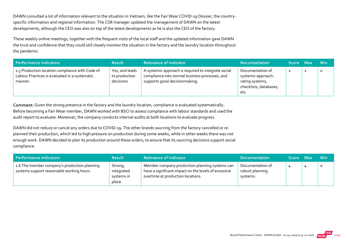DAWN consulted a lot of information relevant to the situation in Vietnam, like the Fair Wear COVID-19 Dossier, the countryspecific information and regional information. The CSR manager updated the management of DAWN on the latest developments, although the CEO was also on top of the latest developments as he is also the CEO of the factory.

These weekly online meetings, together with the frequent visits of the local staff and the updated information gave DAWN the trust and confidence that they could still closely monitor the situation in the factory and the laundry location throughout the pandemic.

| Performance indicators                                                                                      | <b>Result</b>                                | <b>Relevance of Indicator</b>                                                                                                          | <b>Documentation</b>                                                                        | Score Max |                | <b>Min</b> |
|-------------------------------------------------------------------------------------------------------------|----------------------------------------------|----------------------------------------------------------------------------------------------------------------------------------------|---------------------------------------------------------------------------------------------|-----------|----------------|------------|
| 1.5 Production location compliance with Code of<br>Labour Practices is evaluated in a systematic<br>manner. | Yes, and leads<br>to production<br>decisions | A systemic approach is required to integrate social<br>compliance into normal business processes, and<br>supports good decisionmaking. | Documentation of<br>systemic approach:<br>rating systems,<br>checklists, databases,<br>etc. | 2         | $\overline{2}$ | $\circ$    |

Comment: Given the strong presence in the factory and the laundry location, compliance is evaluated systematically. Before becoming a Fair Wear member, DAWN worked with BSCI to assess compliance with labour standards and used the audit report to evaluate. Moreover, the company conducts internal audits at both locations to evaluate progress.

DAWN did not reduce or cancel any orders due to COVID-19. The other brands sourcing from the factory cancelled or replanned their production, which led to high pressure on production during some weeks, while in other weeks there was not enough work. DAWN decided to plan its production around these orders, to ensure that its sourcing decisions support social compliance.

| Performance indicators                                                                    | <b>Result</b>                                 | <b>Relevance of Indicator</b>                                                                                                               | <b>Documentation</b>                            | <b>Score</b> | - Max | <b>Min</b> |
|-------------------------------------------------------------------------------------------|-----------------------------------------------|---------------------------------------------------------------------------------------------------------------------------------------------|-------------------------------------------------|--------------|-------|------------|
| 1.6 The member company's production planning<br>systems support reasonable working hours. | Strong,<br>integrated<br>systems in<br>place. | Member company production planning systems can<br>have a significant impact on the levels of excessive<br>overtime at production locations. | Documentation of<br>robust planning<br>systems. |              |       |            |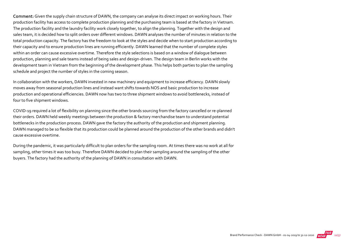Comment: Given the supply chain structure of DAWN, the company can analyse its direct impact on working hours. Their production facility has access to complete production planning and the purchasing team is based at the factory in Vietnam. The production facility and the laundry facility work closely together, to align the planning. Together with the design and sales team, it is decided how to split orders over different windows. DAWN analyses the number of minutes in relation to the total production capacity. The factory has the freedom to look at the styles and decide when to start production according to their capacity and to ensure production lines are running efficiently. DAWN learned that the number of complete styles within an order can cause excessive overtime. Therefore the style selections is based on a window of dialogue between production, planning and sale teams instead of being sales and design‐driven. The design team in Berlin works with the development team in Vietnam from the beginning of the development phase. This helps both parties to plan the sampling schedule and project the number of styles in the coming season.

In collaboration with the workers, DAWN invested in new machinery and equipment to increase efficiency. DAWN slowly moves away from seasonal production lines and instead want shifts towards NOS and basic production to increase production and operational efficiencies. DAWN now has two to three shipment windows to avoid bottlenecks, instead of four to five shipment windows.

COVID‐19 required a lot of flexibility on planning since the other brands sourcing from the factory cancelled or re‐planned their orders. DAWN held weekly meetings between the production & factory merchandise team to understand potential bottlenecks in the production process. DAWN gave the factory the authority of the production and shipment planning. DAWN managed to be so flexible that its production could be planned around the production of the other brands and didn't cause excessive overtime.

During the pandemic, it was particularly difficult to plan orders for the sampling room. At times there was no work at all for sampling, other times it was too busy. Therefore DAWN decided to plan their sampling around the sampling of the other buyers. The factory had the authority of the planning of DAWN in consultation with DAWN.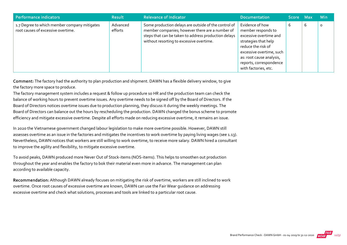| Performance indicators                                                             | <b>Result</b>       | <b>Relevance of Indicator</b>                                                                                                                                                                               | <b>Documentation</b>                                                                                                                                                                                                     | <b>Score</b> | Max | <b>Min</b> |
|------------------------------------------------------------------------------------|---------------------|-------------------------------------------------------------------------------------------------------------------------------------------------------------------------------------------------------------|--------------------------------------------------------------------------------------------------------------------------------------------------------------------------------------------------------------------------|--------------|-----|------------|
| 1.7 Degree to which member company mitigates<br>root causes of excessive overtime. | Advanced<br>efforts | Some production delays are outside of the control of<br>member companies; however there are a number of<br>steps that can be taken to address production delays<br>without resorting to excessive overtime. | Evidence of how<br>member responds to<br>excessive overtime and<br>strategies that help<br>reduce the risk of<br>excessive overtime, such<br>as: root cause analysis,<br>reports, correspondence<br>with factories, etc. | ь            | 6   | $\circ$    |

Comment: The factory had the authority to plan production and shipment. DAWN has a flexible delivery window, to give the factory more space to produce.

The factory management system includes a request & follow up procedure so HR and the production team can check the balance of working hours to prevent overtime issues. Any overtime needs to be signed off by the Board of Directors. If the Board of Directors notices overtime issues due to production planning, they discuss it during the weekly meetings. The Board of Directors can balance out the hours by rescheduling the production. DAWN changed the bonus scheme to promote efficiency and mitigate excessive overtime. Despite all efforts made on reducing excessive overtime, it remains an issue.

In 2020 the Vietnamese government changed labour legislation to make more overtime possible. However, DAWN still assesses overtime as an issue in the factories and mitigates the incentives to work overtime by paying living wages (see 1.13). Nevertheless, DAWN notices that workers are still willing to work overtime, to receive more salary. DAWN hired a consultant to improve the agility and flexibility, to mitigate excessive overtime.

To avoid peaks, DAWN produced more Never Out of Stock‐items (NOS‐items). This helps to smoothen out production throughout the year and enables the factory to bok their material even more in advance. The management can plan according to available capacity.

Recommendation: Although DAWN already focuses on mitigating the risk of overtime, workers are still inclined to work overtime. Once root causes of excessive overtime are known, DAWN can use the Fair Wear guidance on addressing excessive overtime and check what solutions, processes and tools are linked to a particular root cause.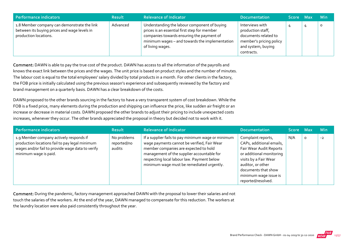| Performance indicators                                                                                               | <b>Result</b> | <b>Relevance of Indicator</b>                                                                                                                                                                                   | <b>Documentation</b>                                                                                                        | Score Max | <b>Min</b> |
|----------------------------------------------------------------------------------------------------------------------|---------------|-----------------------------------------------------------------------------------------------------------------------------------------------------------------------------------------------------------------|-----------------------------------------------------------------------------------------------------------------------------|-----------|------------|
| 1.8 Member company can demonstrate the link<br>between its buying prices and wage levels in<br>production locations. | Advanced      | Understanding the labour component of buying<br>prices is an essential first step for member<br>companies towards ensuring the payment of<br>minimum wages - and towards the implementation<br>of living wages. | Interviews with<br>production staff,<br>documents related to<br>member's pricing policy<br>and system, buying<br>contracts. |           | $\circ$    |

Comment: DAWN is able to pay the true cost of the product. DAWN has access to all the information of the payrolls and knows the exact link between the prices and the wages. The unit price is based on product styles and the number of minutes. The labour cost is equal to the total employees' salary divided by total products in a month. For other clients in the factory, the FOB price is initially calculated using the previous season's experience and subsequently reviewed by the factory and brand management on a quarterly basis. DAWN has a clear breakdown of the costs.

DAWN proposed to the other brands sourcing in the factory to have a very transparent system of cost breakdown. While the FOB is a fixed price, many elements during the production and shipping can influence the price, like sudden air freight or an increase or decrease in material costs. DAWN proposed the other brands to adjust their pricing to include unexpected costs increases, whenever they occur. The other brands appreciated the proposal in theory but decided not to work with it.

| Performance indicators                                                                                                                                                 | <b>Result</b>                        | <b>Relevance of Indicator</b>                                                                                                                                                                                                                                                       | <b>Documentation</b>                                                                                                                                                                                                      | Score Max |         | <b>Min</b> |
|------------------------------------------------------------------------------------------------------------------------------------------------------------------------|--------------------------------------|-------------------------------------------------------------------------------------------------------------------------------------------------------------------------------------------------------------------------------------------------------------------------------------|---------------------------------------------------------------------------------------------------------------------------------------------------------------------------------------------------------------------------|-----------|---------|------------|
| 1.9 Member company actively responds if<br>production locations fail to pay legal minimum<br>wages and/or fail to provide wage data to verify<br>minimum wage is paid. | No problems<br>reported/no<br>audits | If a supplier fails to pay minimum wage or minimum<br>wage payments cannot be verified, Fair Wear<br>member companies are expected to hold<br>management of the supplier accountable for<br>respecting local labour law. Payment below<br>minimum wage must be remediated urgently. | Complaint reports,<br>CAPs, additional emails,<br>Fair Wear Audit Reports<br>or additional monitoring<br>visits by a Fair Wear<br>auditor, or other<br>documents that show<br>minimum wage issue is<br>reported/resolved. | N/A       | $\circ$ | $-2$       |

Comment: During the pandemic, factory management approached DAWN with the proposal to lower their salaries and not touch the salaries of the workers. At the end of the year, DAWN managed to compensate for this reduction. The workers at the laundry location were also paid consistently throughout the year.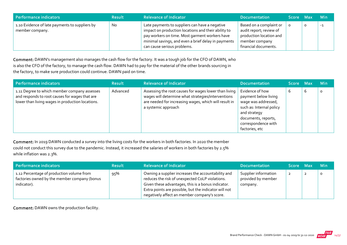| Performance indicators                                            | <b>Result</b> | <b>Relevance of Indicator</b>                                                                                                                                                                                                                 | Documentation                                                                                                           | Score Max |   | <b>Min</b> |
|-------------------------------------------------------------------|---------------|-----------------------------------------------------------------------------------------------------------------------------------------------------------------------------------------------------------------------------------------------|-------------------------------------------------------------------------------------------------------------------------|-----------|---|------------|
| 1.10 Evidence of late payments to suppliers by<br>member company. | <b>No</b>     | Late payments to suppliers can have a negative<br>impact on production locations and their ability to<br>pay workers on time. Most garment workers have<br>minimal savings, and even a brief delay in payments<br>can cause serious problems. | Based on a complaint or<br>audit report; review of<br>production location and<br>member company<br>financial documents. |           | 0 | $-1$       |

Comment: DAWN's management also manages the cash flow for the factory. It was a tough job for the CFO of DAWN, who is also the CFO of the factory, to manage the cash flow. DAWN had to pay for the material of the other brands sourcing in the factory, to make sure production could continue. DAWN paid on time.

| Performance indicators                                                                                                                             | <b>Result</b> | Relevance of Indicator b                                                                                                                                                                    | <b>Documentation</b>                                                                                                                                                       | <b>Score</b> | <b>Max</b> | <b>Min</b> |
|----------------------------------------------------------------------------------------------------------------------------------------------------|---------------|---------------------------------------------------------------------------------------------------------------------------------------------------------------------------------------------|----------------------------------------------------------------------------------------------------------------------------------------------------------------------------|--------------|------------|------------|
| 1.11 Degree to which member company assesses<br>and responds to root causes for wages that are<br>lower than living wages in production locations. | Advanced      | Assessing the root causes for wages lower than living<br>wages will determine what strategies/interventions<br>are needed for increasing wages, which will result in<br>a systemic approach | Evidence of how<br>payment below living<br>wage was addressed,<br>such as: Internal policy<br>and strategy<br>documents, reports,<br>correspondence with<br>factories, etc | b            | b          | o          |

Comment: In 2019 DAWN conducted a survey into the living costs for the workers in both factories. In 2020 the member could not conduct this survey due to the pandemic. Instead, it increased the salaries of workers in both factories by 2.5% while inflation was 2.3%.

| Performance indicators                                                                                   | <b>Result</b> | <b>Relevance of Indicator</b>                                                                                                                                                                                                                                        | <b>Documentation</b>                                   | Score Max      | <b>Min</b> |
|----------------------------------------------------------------------------------------------------------|---------------|----------------------------------------------------------------------------------------------------------------------------------------------------------------------------------------------------------------------------------------------------------------------|--------------------------------------------------------|----------------|------------|
| 1.12 Percentage of production volume from<br>factories owned by the member company (bonus<br>indicator). | 95%           | Owning a supplier increases the accountability and<br>reduces the risk of unexpected CoLP violations.<br>Given these advantages, this is a bonus indicator.<br>Extra points are possible, but the indicator will not<br>negatively affect an member company's score. | Supplier information<br>provided by member<br>company. | $\overline{2}$ |            |

Comment: DAWN owns the production facility.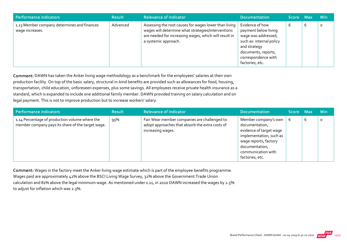| <b>Performance indicators</b>                                  | <b>Result</b> | <b>Relevance of Indicator</b>                                                                                                                                                                | <b>Documentation</b>                                                                                                                                                        | Score Max |   | Min     |
|----------------------------------------------------------------|---------------|----------------------------------------------------------------------------------------------------------------------------------------------------------------------------------------------|-----------------------------------------------------------------------------------------------------------------------------------------------------------------------------|-----------|---|---------|
| 1.13 Member company determines and finances<br>wage increases. | Advanced      | Assessing the root causes for wages lower than living<br>wages will determine what strategies/interventions<br>are needed for increasing wages, which will result in<br>a systemic approach. | Evidence of how<br>payment below living<br>wage was addressed,<br>such as: internal policy<br>and strategy<br>documents, reports,<br>correspondence with<br>factories, etc. |           | b | $\circ$ |

Comment: DAWN has taken the Anker living wage methodology as a benchmark for the employees' salaries at their own production facility. On top of the basic salary, structural in-kind benefits are provided such as allowances for food, housing, transportation, child education, unforeseen expenses, plus some savings. All employees receive private health insurance as a standard, which is expanded to include one additional family member. DAWN provided training on salary calculation and on legal payment. This is not to improve production but to increase workers' salary.

| Performance indicators                                                                              | <b>Result</b> | <b>Relevance of Indicator</b>                                                                                        | <b>Documentation</b>                                                                                                                                                             | Score Max |   | <b>Min</b> |
|-----------------------------------------------------------------------------------------------------|---------------|----------------------------------------------------------------------------------------------------------------------|----------------------------------------------------------------------------------------------------------------------------------------------------------------------------------|-----------|---|------------|
| 1.14 Percentage of production volume where the<br>member company pays its share of the target wage. | 95%           | Fair Wear member companies are challenged to<br>adopt approaches that absorb the extra costs of<br>increasing wages. | Member company's own<br>documentation,<br>evidence of target wage<br>implementation, such as<br>wage reports, factory<br>documentation,<br>communication with<br>factories, etc. | b         | 6 | $\Omega$   |

Comment: Wages in the factory meet the Anker living wage estimate which is part of the employee benefits programme. Wages paid are approximately 42% above the BSCI Living Wage Survey, 32% above the Government Trade Union calculation and 81% above the legal minimum wage. As mentioned under 1.11, in 2020 DAWN increased the wages by 2.5% to adjust for inflation which was 2.3%.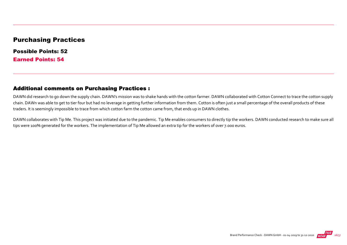#### Purchasing Practices

Possible Points: 52 Earned Points: 54

#### Additional comments on Purchasing Practices :

DAWN did research to go down the supply chain. DAWN's mission was to shake hands with the cotton farmer. DAWN collaborated with Cotton Connect to trace the cotton supply chain. DAWn was able to get to tier four but had no leverage in getting further information from them. Cotton is often just a small percentage of the overall products of these traders. It is seemingly impossible to trace from which cotton farm the cotton came from, that ends up in DAWN clothes.

DAWN collaborates with Tip Me. This project was initiated due to the pandemic. Tip Me enables consumers to directly tip the workers. DAWN conducted research to make sure all tips were 100% generated for the workers. The implementation of Tip Me allowed an extra tip for the workers of over 7.000 euros.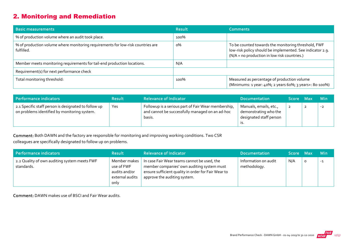## 2. Monitoring and Remediation

| <b>Basic measurements</b>                                                                     | <b>Result</b> | <b>Comments</b>                                                                                                                                                  |
|-----------------------------------------------------------------------------------------------|---------------|------------------------------------------------------------------------------------------------------------------------------------------------------------------|
| % of production volume where an audit took place.                                             | 100%          |                                                                                                                                                                  |
| % of production volume where monitoring requirements for low-risk countries are<br>fulfilled. | о%            | To be counted towards the monitoring threshold, FWF<br>low-risk policy should be implemented. See indicator 2.9.<br>(N/A = no production in low risk countries.) |
| Member meets monitoring requirements for tail-end production locations.                       | N/A           |                                                                                                                                                                  |
| Requirement(s) for next performance check                                                     |               |                                                                                                                                                                  |
| Total monitoring threshold:                                                                   | 100%          | Measured as percentage of production volume<br>(Minimums: 1 year: 40%; 2 years 60%; 3 years+: 80-100%)                                                           |

| Performance indicators                                                                               | <b>Result</b> | <b>Relevance of Indicator</b>                                                                                    | <b>Documentation</b>                                                       | Score Max      | <b>Min</b> |
|------------------------------------------------------------------------------------------------------|---------------|------------------------------------------------------------------------------------------------------------------|----------------------------------------------------------------------------|----------------|------------|
| 2.1 Specific staff person is designated to follow up<br>on problems identified by monitoring system. | Yes           | Followup is a serious part of Fair Wear membership,<br>and cannot be successfully managed on an ad-hoc<br>basis. | Manuals, emails, etc.,<br>demonstrating who the<br>designated staff person | $\overline{2}$ | $-2$       |

Comment: Both DAWN and the factory are responsible for monitoring and improving working conditions. Two CSR colleagues are specifically designated to follow up on problems.

| Performance indicators                                     | <b>Result</b>                                                          | <b>Relevance of Indicator</b>                                                                                                                                                    | <b>Documentation</b>                 | Score Max |         | <b>Min</b> |
|------------------------------------------------------------|------------------------------------------------------------------------|----------------------------------------------------------------------------------------------------------------------------------------------------------------------------------|--------------------------------------|-----------|---------|------------|
| 2.2 Quality of own auditing system meets FWF<br>standards. | Member makes<br>use of FWF<br>audits and/or<br>external audits<br>only | In case Fair Wear teams cannot be used, the<br>member companies' own auditing system must<br>ensure sufficient quality in order for Fair Wear to<br>approve the auditing system. | Information on audit<br>methodology. | N/A       | $\circ$ | $-1$       |

Comment: DAWN makes use of BSCI and Fair Wear audits.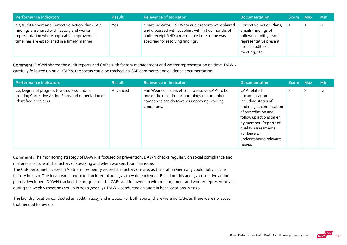| Performance indicators                                                                                                                                                                            | <b>Result</b> | <b>Relevance of Indicator</b>                                                                                                                                                                    | <b>Documentation</b>                                                                                                                      | Score Max | <b>Min</b> |
|---------------------------------------------------------------------------------------------------------------------------------------------------------------------------------------------------|---------------|--------------------------------------------------------------------------------------------------------------------------------------------------------------------------------------------------|-------------------------------------------------------------------------------------------------------------------------------------------|-----------|------------|
| 2.3 Audit Report and Corrective Action Plan (CAP)<br>findings are shared with factory and worker<br>representation where applicable. Improvement<br>timelines are established in a timely manner. | Yes           | 2 part indicator: Fair Wear audit reports were shared<br>and discussed with suppliers within two months of<br>audit receipt AND a reasonable time frame was<br>specified for resolving findings. | Corrective Action Plans,<br>emails; findings of<br>followup audits; brand<br>representative present<br>during audit exit<br>meeting, etc. |           | $-1$       |

Comment: DAWN shared the audit reports and CAP's with factory management and worker representation on time. DAWN carefully followed up on all CAP's, the status could be tracked via CAP comments and evidence documentation.

| Performance indicators                                                                                                      | <b>Result</b> | <b>Relevance of Indicator</b>                                                                                                                                  | <b>Documentation</b>                                                                                                                                                                                                                 | Score Max |   | <b>Min</b> |
|-----------------------------------------------------------------------------------------------------------------------------|---------------|----------------------------------------------------------------------------------------------------------------------------------------------------------------|--------------------------------------------------------------------------------------------------------------------------------------------------------------------------------------------------------------------------------------|-----------|---|------------|
| 2.4 Degree of progress towards resolution of<br>existing Corrective Action Plans and remediation of<br>identified problems. | Advanced      | Fair Wear considers efforts to resolve CAPs to be<br>one of the most important things that member<br>companies can do towards improving working<br>conditions. | CAP-related<br>documentation<br>including status of<br>findings, documentation<br>of remediation and<br>follow up actions taken<br>by member. Reports of<br>quality assessments.<br>Evidence of<br>understanding relevant<br>issues. | 8         | 8 | $-2$       |

Comment: The monitoring strategy of DAWN is focused on prevention. DAWN checks regularly on social compliance and nurtures a culture at the factory of speaking and when workers found an issue.

The CSR personnel located in Vietnam frequently visited the factory on‐site, as the staff in Germany could not visit the factory in 2020. The local team conducted an internal audit, as they do each year. Based on this audit, a corrective action plan is developed. DAWN tracked the progress on the CAPs and followed up with management and worker representatives during the weekly meetings set up in 2020 (see 1.4). DAWN conducted an audit in both locations in 2020.

The laundry location conducted an audit in 2019 and in 2020. For both audits, there were no CAPs as there were no issues that needed follow up.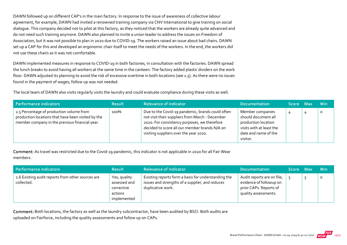DAWN followed up on different CAP's in the main factory. In response to the issue of awareness of collective labour agreement, for example, DAWN had invited a renowned training company via CNV International to give training on social dialogue. This company decided not to pilot at this factory, as they noticed that the workers are already quite advanced and do not need such training anymore. DAWN also planned to invite a union leader to address the issues on Freedom of Association, but it was not possible to plan in 2020 due to COVID‐19. The workers raised an issue about bad chairs. DAWN set up a CAP for this and developed an ergonomic chair itself to meet the needs of the workers. In the end, the workers did not use these chairs as it was not comfortable.

DAWN implemented measures in response to COVID-19 in both factories, in consultation with the factories. DAWN spread the lunch breaks to avoid having all workers at the same time in the canteen. The factory added plastic dividers on the work floor. DAWN adjusted its planning to avoid the risk of excessive overtime in both locations (see 1.5). As there were no issues found in the payment of wages, follow up was not needed.

The local team of DAWN also visits regularly visits the laundry and could evaluate compliance during these visits as well.

| Performance indicators                                                                                                                           | <b>Result</b> | <b>Relevance of Indicator</b>                                                                                                                                                                                                                  | <b>Documentation</b>                                                                                                           | Score Max |   | <b>Min</b> |
|--------------------------------------------------------------------------------------------------------------------------------------------------|---------------|------------------------------------------------------------------------------------------------------------------------------------------------------------------------------------------------------------------------------------------------|--------------------------------------------------------------------------------------------------------------------------------|-----------|---|------------|
| 2.5 Percentage of production volume from<br>production locations that have been visited by the<br>member company in the previous financial year. | 100%          | Due to the Covid-19 pandemic, brands could often<br>not visit their suppliers from March - December<br>2020. For consistency purposes, we therefore<br>decided to score all our member brands N/A on<br>visiting suppliers over the year 2020. | Member companies<br>should document all<br>production location<br>visits with at least the<br>date and name of the<br>visitor. | 4         | 4 | $\circ$    |

Comment: As travel was restricted due to the Covid‐19 pandemic, this indicator is not applicable in 2020 for all Fair Wear members.

| Performance indicators                                          | <b>Result</b>                                                        | <b>Relevance of Indicator</b>                                                                                               | <b>Documentation</b>                                                                                    | <b>Score</b> | Max | <b>Min</b> |
|-----------------------------------------------------------------|----------------------------------------------------------------------|-----------------------------------------------------------------------------------------------------------------------------|---------------------------------------------------------------------------------------------------------|--------------|-----|------------|
| 2.6 Existing audit reports from other sources are<br>collected. | Yes, quality<br>assessed and<br>corrective<br>actions<br>implemented | Existing reports form a basis for understanding the<br>issues and strengths of a supplier, and reduces<br>duplicative work. | Audit reports are on file;<br>evidence of followup on<br>prior CAPs. Reports of<br>quality assessments. |              |     | 0          |

Comment: Both locations, the factory as well as the laundry subcontractor, have been audited by BSCI. Both audits are uploaded on Fairforce, including the quality assessments and follow up on CAPs.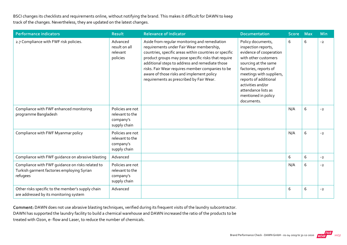BSCI changes its checklists and requirements online, without notifying the brand. This makes it difficult for DAWN to keep track of the changes. Nevertheless, they are updated on the latest changes.

| <b>Performance indicators</b>                                                                              | <b>Result</b>                                                    | <b>Relevance of Indicator</b>                                                                                                                                                                                                                                                                                                                                                                              | <b>Documentation</b>                                                                                                                                                                                                                                                               | <b>Score</b> | <b>Max</b> | <b>Min</b> |
|------------------------------------------------------------------------------------------------------------|------------------------------------------------------------------|------------------------------------------------------------------------------------------------------------------------------------------------------------------------------------------------------------------------------------------------------------------------------------------------------------------------------------------------------------------------------------------------------------|------------------------------------------------------------------------------------------------------------------------------------------------------------------------------------------------------------------------------------------------------------------------------------|--------------|------------|------------|
| 2.7 Compliance with FWF risk policies.                                                                     | Advanced<br>result on all<br>relevant<br>policies                | Aside from regular monitoring and remediation<br>requirements under Fair Wear membership,<br>countries, specific areas within countries or specific<br>product groups may pose specific risks that require<br>additional steps to address and remediate those<br>risks. Fair Wear requires member companies to be<br>aware of those risks and implement policy<br>requirements as prescribed by Fair Wear. | Policy documents,<br>inspection reports,<br>evidence of cooperation<br>with other customers<br>sourcing at the same<br>factories, reports of<br>meetings with suppliers,<br>reports of additional<br>activities and/or<br>attendance lists as<br>mentioned in policy<br>documents. | 6            | 6          | $-2$       |
| Compliance with FWF enhanced monitoring<br>programme Bangladesh                                            | Policies are not<br>relevant to the<br>company's<br>supply chain |                                                                                                                                                                                                                                                                                                                                                                                                            |                                                                                                                                                                                                                                                                                    | N/A          | 6          | $-2$       |
| Compliance with FWF Myanmar policy                                                                         | Policies are not<br>relevant to the<br>company's<br>supply chain |                                                                                                                                                                                                                                                                                                                                                                                                            |                                                                                                                                                                                                                                                                                    | N/A          | 6          | $-2$       |
| Compliance with FWF guidance on abrasive blasting                                                          | Advanced                                                         |                                                                                                                                                                                                                                                                                                                                                                                                            |                                                                                                                                                                                                                                                                                    | 6            | 6          | $-2$       |
| Compliance with FWF guidance on risks related to<br>Turkish garment factories employing Syrian<br>refugees | Policies are not<br>relevant to the<br>company's<br>supply chain |                                                                                                                                                                                                                                                                                                                                                                                                            |                                                                                                                                                                                                                                                                                    | N/A          | 6          | $-2$       |
| Other risks specific to the member's supply chain<br>are addressed by its monitoring system                | Advanced                                                         |                                                                                                                                                                                                                                                                                                                                                                                                            |                                                                                                                                                                                                                                                                                    | 6            | 6          | $-2$       |

Comment: DAWN does not use abrasive blasting techniques, verified during its frequent visits of the laundry subcontractor. DAWN has supported the laundry facility to build a chemical warehouse and DAWN increased the ratio of the products to be treated with Ozon, e‐ flow and Laser, to reduce the number of chemicals.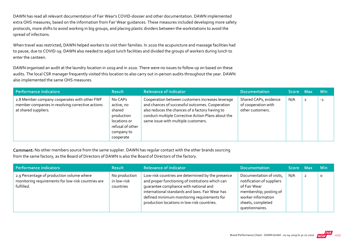DAWN has read all relevant documentation of Fair Wear's COVID‐dossier and other documentation. DAWN implemented extra OHS measures, based on the information from Fair Wear guidances. These measures included developing more safety protocols, more shifts to avoid working in big groups, and placing plastic dividers between the workstations to avoid the spread of infections.

When travel was restricted, DAWN helped workers to visit their families. In 2020 the acupuncture and massage facilities had to pause, due to COVID‐19. DAWN also needed to adjust lunch facilities and divided the groups of workers during lunch to enter the canteen.

DAWN organised an audit at the laundry location in 2019 and in 2020. There were no issues to follow up on based on these audits. The local CSR manager frequently visited this location to also carry out in‐person audits throughout the year. DAWN also implemented the same OHS measures.

| Performance indicators                                                                                                   | <b>Result</b>                                                                                                | <b>Relevance of Indicator</b>                                                                                                                                                                                                                       | <b>Documentation</b>                                             | Score Max |                | <b>Min</b> |
|--------------------------------------------------------------------------------------------------------------------------|--------------------------------------------------------------------------------------------------------------|-----------------------------------------------------------------------------------------------------------------------------------------------------------------------------------------------------------------------------------------------------|------------------------------------------------------------------|-----------|----------------|------------|
| 2.8 Member company cooperates with other FWF<br>member companies in resolving corrective actions<br>at shared suppliers. | No CAPs<br>active, no<br>shared<br>production<br>locations or<br>refusal of other<br>company to<br>cooperate | Cooperation between customers increases leverage<br>and chances of successful outcomes. Cooperation<br>also reduces the chances of a factory having to<br>conduct multiple Corrective Action Plans about the<br>same issue with multiple customers. | Shared CAPs, evidence<br>of cooperation with<br>other customers. | N/A       | $\overline{2}$ | $-1$       |

Comment: No other members source from the same supplier. DAWN has regular contact with the other brands sourcing from the same factory, as the Board of Directors of DAWN is also the Board of Directors of the factory.

| Performance indicators                                                                                        | <b>Result</b>                             | <b>Relevance of Indicator</b>                                                                                                                                                                                                                                                                    | <b>Documentation</b>                                                                                                                                          | Score Max |                         | <b>Min</b> |
|---------------------------------------------------------------------------------------------------------------|-------------------------------------------|--------------------------------------------------------------------------------------------------------------------------------------------------------------------------------------------------------------------------------------------------------------------------------------------------|---------------------------------------------------------------------------------------------------------------------------------------------------------------|-----------|-------------------------|------------|
| 2.9 Percentage of production volume where<br>monitoring requirements for low-risk countries are<br>fulfilled. | No production<br>in low-risk<br>countries | Low-risk countries are determined by the presence<br>and proper functioning of institutions which can<br>guarantee compliance with national and<br>international standards and laws. Fair Wear has<br>defined minimum monitoring requirements for<br>production locations in low-risk countries. | Documentation of visits,<br>notification of suppliers<br>of Fair Wear<br>membership; posting of<br>worker information<br>sheets, completed<br>questionnaires. | N/A       | $\overline{\mathbf{2}}$ | 0          |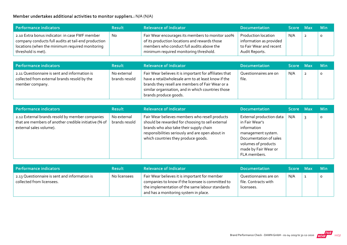#### Member undertakes additional activities to monitor suppliers.: N/A (N/A)

| <b>Performance indicators</b>                                                                                                                                                  | <b>Result</b> | <b>Relevance of Indicator</b>                                                                                                                                                            | <b>Documentation</b>                                                                        | Score Max | <b>Min</b> |
|--------------------------------------------------------------------------------------------------------------------------------------------------------------------------------|---------------|------------------------------------------------------------------------------------------------------------------------------------------------------------------------------------------|---------------------------------------------------------------------------------------------|-----------|------------|
| 2.10 Extra bonus indicator: in case FWF member<br>company conducts full audits at tail-end production<br>locations (when the minimum required monitoring<br>threshold is met). | No.           | Fair Wear encourages its members to monitor 100%<br>of its production locations and rewards those<br>members who conduct full audits above the<br>minimum required monitoring threshold. | Production location<br>information as provided<br>to Fair Wear and recent<br>Audit Reports. | N/A       |            |

| Performance indicators                                                                                           | <b>Result</b>                | <b>Relevance of Indicator</b>                                                                                                                                                                                                                    | <b>Documentation</b>           | Score Max |                | <b>Min</b> |
|------------------------------------------------------------------------------------------------------------------|------------------------------|--------------------------------------------------------------------------------------------------------------------------------------------------------------------------------------------------------------------------------------------------|--------------------------------|-----------|----------------|------------|
| 2.11 Questionnaire is sent and information is<br>collected from external brands resold by the<br>member company. | No external<br>brands resold | Fair Wear believes it is important for affiliates that<br>have a retail/wholesale arm to at least know if the<br>brands they resell are members of Fair Wear or a<br>similar organisation, and in which countries those<br>brands produce goods. | Questionnaires are on<br>file. | N/A       | $\overline{2}$ | O          |

| Performance indicators                                                                                                              | <b>Result</b>                | <b>Relevance of Indicator</b>                                                                                                                                                                                                            | <b>Documentation</b>                                                                                                                                                     | Score Max | <b>Min</b> |
|-------------------------------------------------------------------------------------------------------------------------------------|------------------------------|------------------------------------------------------------------------------------------------------------------------------------------------------------------------------------------------------------------------------------------|--------------------------------------------------------------------------------------------------------------------------------------------------------------------------|-----------|------------|
| 2.12 External brands resold by member companies<br>that are members of another credible initiative (% of<br>external sales volume). | No external<br>brands resold | Fair Wear believes members who resell products<br>should be rewarded for choosing to sell external<br>brands who also take their supply chain<br>responsibilities seriously and are open about in<br>which countries they produce goods. | External production data<br>in Fair Wear's<br>information<br>management system.<br>Documentation of sales<br>volumes of products<br>made by Fair Wear or<br>FLA members. | N/A       | O          |

| Performance indicators                                                     | <b>Result</b> | <b>Relevance of Indicator</b>                                                                                                                                                                  | <b>Documentation</b>                                        | Score Max | <b>Min</b> |
|----------------------------------------------------------------------------|---------------|------------------------------------------------------------------------------------------------------------------------------------------------------------------------------------------------|-------------------------------------------------------------|-----------|------------|
| 2.13 Questionnaire is sent and information is<br>collected from licensees. | No licensees  | Fair Wear believes it is important for member<br>companies to know if the licensee is committed to<br>the implementation of the same labour standards<br>and has a monitoring system in place. | Questionnaires are on<br>file. Contracts with<br>licensees. | N/A       |            |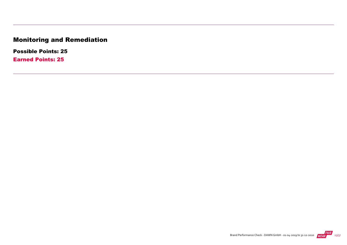## Monitoring and Remediation

Possible Points: 25

Earned Points: 25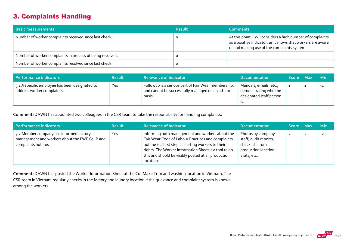## 3. Complaints Handling

| <b>Basic measurements</b>                                 | <b>Result</b> | <b>Comments</b>                                                                                                                                                        |
|-----------------------------------------------------------|---------------|------------------------------------------------------------------------------------------------------------------------------------------------------------------------|
| Number of worker complaints received since last check.    |               | At this point, FWF considers a high number of complaints<br>as a positive indicator, as it shows that workers are aware<br>of and making use of the complaints system. |
| Number of worker complaints in process of being resolved. |               |                                                                                                                                                                        |
| Number of worker complaints resolved since last check.    |               |                                                                                                                                                                        |

| Performance indicators                                                       | <b>Result</b> | <b>Relevance of Indicator</b>                                                                                    | <b>Documentation</b>                                                       | Score Max | <b>Min</b> |
|------------------------------------------------------------------------------|---------------|------------------------------------------------------------------------------------------------------------------|----------------------------------------------------------------------------|-----------|------------|
| 3.1 A specific employee has been designated to<br>address worker complaints. | Yes           | Followup is a serious part of Fair Wear membership,<br>and cannot be successfully managed on an ad-hoc<br>basis. | Manuals, emails, etc.,<br>demonstrating who the<br>designated staff person |           | $-1$       |

Comment: DAWN has appointed two colleagues in the CSR team to take the responsibility for handling complaints.

| Performance indicators                                                                                          | <b>Result</b> | <b>Relevance of Indicator</b>                                                                                                                                                                                                                                                             | <b>Documentation</b>                                                                                 | Score Max      | <b>Min</b> |
|-----------------------------------------------------------------------------------------------------------------|---------------|-------------------------------------------------------------------------------------------------------------------------------------------------------------------------------------------------------------------------------------------------------------------------------------------|------------------------------------------------------------------------------------------------------|----------------|------------|
| 3.2 Member company has informed factory<br>management and workers about the FWF CoLP and<br>complaints hotline. | Yes           | Informing both management and workers about the<br>Fair Wear Code of Labour Practices and complaints<br>hotline is a first step in alerting workers to their<br>rights. The Worker Information Sheet is a tool to do<br>this and should be visibly posted at all production<br>locations. | Photos by company<br>staff, audit reports,<br>checklists from<br>production location<br>visits, etc. | $\overline{z}$ | $-2$       |

Comment: DAWN has posted the Worker Information Sheet at the Cut Make Trim and washing location in Vietnam. The CSR team in Vietnam regularly checks in the factory and laundry location if the grievance and complaint system is known among the workers.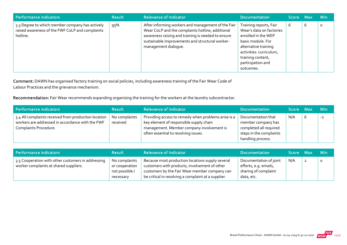| Performance indicators                                                                                         | <b>Result</b> | <b>Relevance of Indicator</b>                                                                                                                                                                                                           | <b>Documentation</b>                                                                                                                                                                                     | Score Max |   | <b>Min</b> |
|----------------------------------------------------------------------------------------------------------------|---------------|-----------------------------------------------------------------------------------------------------------------------------------------------------------------------------------------------------------------------------------------|----------------------------------------------------------------------------------------------------------------------------------------------------------------------------------------------------------|-----------|---|------------|
| 3.3 Degree to which member company has actively<br>raised awareness of the FWF CoLP and complaints<br>hotline. | 95%           | After informing workers and management of the Fair<br>Wear CoLP and the complaints hotline, additional<br>awareness raising and training is needed to ensure<br>sustainable improvements and structural worker-<br>management dialogue. | Training reports, Fair<br>Wear's data on factories<br>enrolled in the WEP<br>basic module. For<br>alternative training<br>activities: curriculum,<br>training content,<br>participation and<br>outcomes. | 6         | ь | 0          |

Comment: DAWN has organised factory training on social policies, including awareness training of the Fair Wear Code of Labour Practices and the grievance mechanism.

Recommendation: Fair Wear recommends expanding organising the training for the workers at the laundry subcontractor.

| Performance indicators                                                                                                            | <b>Result</b>             | Relevance of Indicator                                                                                                                                                              | Documentation                                                                                                      | Score Max |   | <b>Min</b> |
|-----------------------------------------------------------------------------------------------------------------------------------|---------------------------|-------------------------------------------------------------------------------------------------------------------------------------------------------------------------------------|--------------------------------------------------------------------------------------------------------------------|-----------|---|------------|
| 3.4 All complaints received from production location<br>workers are addressed in accordance with the FWF<br>Complaints Procedure. | No complaints<br>received | Providing access to remedy when problems arise is a<br>key element of responsible supply chain<br>management. Member company involvement is<br>often essential to resolving issues. | Documentation that<br>member company has<br>completed all required<br>steps in the complaints<br>handling process. | N/A       | O | $-2$       |

| Performance indicators                                                                       | <b>Result</b>                                                  | <b>Relevance of Indicator</b>                                                                                                                                                                             | <b>Documentation</b>                                                                  | Score Max |                | <b>Min</b> |
|----------------------------------------------------------------------------------------------|----------------------------------------------------------------|-----------------------------------------------------------------------------------------------------------------------------------------------------------------------------------------------------------|---------------------------------------------------------------------------------------|-----------|----------------|------------|
| 3.5 Cooperation with other customers in addressing<br>worker complaints at shared suppliers. | No complaints<br>or cooperation<br>not possible /<br>necessary | Because most production locations supply several<br>customers with products, involvement of other<br>customers by the Fair Wear member company can<br>be critical in resolving a complaint at a supplier. | Documentation of joint<br>efforts, e.g. emails,<br>sharing of complaint<br>data, etc. | N/A       | $\overline{2}$ | $\circ$    |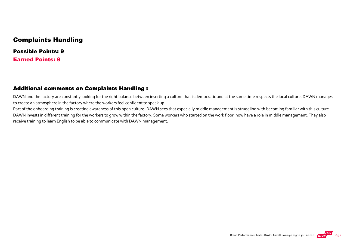#### Complaints Handling

Possible Points: 9 Earned Points: 9

#### Additional comments on Complaints Handling :

DAWN and the factory are constantly looking for the right balance between inserting a culture that is democratic and at the same time respects the local culture. DAWN manages to create an atmosphere in the factory where the workers feel confident to speak up.

Part of the onboarding training is creating awareness of this open culture. DAWN sees that especially middle management is struggling with becoming familiar with this culture. DAWN invests in different training for the workers to grow within the factory. Some workers who started on the work floor, now have a role in middle management. They also receive training to learn English to be able to communicate with DAWN management.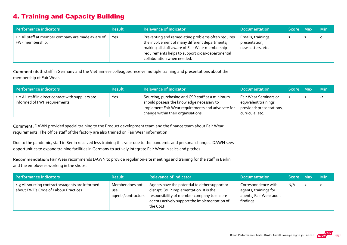## 4. Training and Capacity Building

| Performance indicators                                               | <b>Result</b> | <b>Relevance of Indicator</b>                                                                                                                                                                                                            | <b>Documentation</b>                                     | ا Score Max | <b>Min</b> |
|----------------------------------------------------------------------|---------------|------------------------------------------------------------------------------------------------------------------------------------------------------------------------------------------------------------------------------------------|----------------------------------------------------------|-------------|------------|
| 4.1 All staff at member company are made aware of<br>FWF membership. | Yes           | Preventing and remediating problems often requires<br>the involvement of many different departments;<br>making all staff aware of Fair Wear membership<br>requirements helps to support cross-departmental<br>collaboration when needed. | Emails, trainings,<br>presentation,<br>newsletters, etc. |             |            |

Comment: Both staff in Germany and the Vietnamese colleagues receive multiple training and presentations about the membership of Fair Wear.

| Performance indicators                                                              | <b>Result</b> | <b>Relevance of Indicator</b>                                                                                                                                                           | <b>Documentation</b>                                                                         | Score Max | ⊟ Min |
|-------------------------------------------------------------------------------------|---------------|-----------------------------------------------------------------------------------------------------------------------------------------------------------------------------------------|----------------------------------------------------------------------------------------------|-----------|-------|
| 4.2 All staff in direct contact with suppliers are<br>informed of FWF requirements. | Yes           | Sourcing, purchasing and CSR staff at a minimum<br>should possess the knowledge necessary to<br>implement Fair Wear requirements and advocate for<br>change within their organisations. | Fair Wear Seminars or<br>equivalent trainings<br>provided; presentations,<br>curricula, etc. |           | $-1$  |

Comment: DAWN provided special training to the Product development team and the finance team about Fair Wear requirements. The office staff of the factory are also trained on Fair Wear information.

Due to the pandemic, staff in Berlin received less training this year due to the pandemic and personal changes. DAWN sees opportunities to expand training facilities in Germany to actively integrate Fair Wear in sales and pitches.

Recommendation: Fair Wear recommends DAWN to provide regular on-site meetings and training for the staff in Berlin and the employees working in the shops.

| Performance indicators                                                                    | <b>Result</b>                                       | <b>Relevance of Indicator</b>                                                                                                                                                                        | <b>Documentation</b>                                                                 | Score Max | <b>Min</b> |
|-------------------------------------------------------------------------------------------|-----------------------------------------------------|------------------------------------------------------------------------------------------------------------------------------------------------------------------------------------------------------|--------------------------------------------------------------------------------------|-----------|------------|
| 4.3 All sourcing contractors/agents are informed<br>about FWF's Code of Labour Practices. | Member does not<br><b>use</b><br>agents/contractors | Agents have the potential to either support or<br>disrupt CoLP implementation. It is the<br>responsibility of member company to ensure<br>agents actively support the implementation of<br>the CoLP. | Correspondence with<br>agents, trainings for<br>agents, Fair Wear audit<br>findings. | N/A       |            |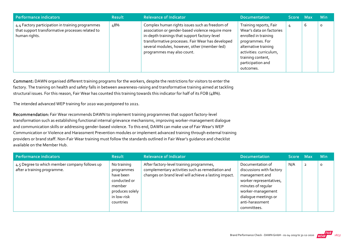| <b>Performance indicators</b>                                                                                         | <b>Result</b> | <b>Relevance of Indicator</b>                                                                                                                                                                                                                                                           | <b>Documentation</b>                                                                                                                                                                                    | Score Max |   | <b>Min</b> |
|-----------------------------------------------------------------------------------------------------------------------|---------------|-----------------------------------------------------------------------------------------------------------------------------------------------------------------------------------------------------------------------------------------------------------------------------------------|---------------------------------------------------------------------------------------------------------------------------------------------------------------------------------------------------------|-----------|---|------------|
| 4.4 Factory participation in training programmes<br>that support transformative processes related to<br>human rights. | 48%           | Complex human rights issues such as freedom of<br>association or gender-based violence require more<br>in-depth trainings that support factory-level<br>transformative processes. Fair Wear has developed<br>several modules, however, other (member-led)<br>programmes may also count. | Training reports, Fair<br>Wear's data on factories<br>enrolled in training<br>programmes. For<br>alternative training<br>activities: curriculum,<br>training content,<br>participation and<br>outcomes. | 4         | b | 0          |

Comment: DAWN organised different training programs for the workers, despite the restrictions for visitors to enter the factory. The training on health and safety falls in between awareness-raising and transformative training aimed at tackling structural issues. For this reason, Fair Wear has counted this training towards this indicator for half of its FOB (48%).

The intended advanced WEP training for 2020 was postponed to 2021.

Recommendation: Fair Wear recommends DAWN to implement training programmes that support factory‐level transformation such as establishing functional internal grievance mechanisms, improving worker‐management dialogue and communication skills or addressing gender-based violence. To this end, DAWN can make use of Fair Wear's WEP Communication or Violence and Harassment Prevention modules or implement advanced training through external training providers or brand staff. Non‐Fair Wear training must follow the standards outlined in Fair Wear's guidance and checklist available on the Member Hub.

| Performance indicators                                                       | <b>Result</b>                                                                                                   | <b>Relevance of Indicator</b>                                                                                                                         | <b>Documentation</b>                                                                                                                                                                           | Score Max |                | <b>Min</b> |
|------------------------------------------------------------------------------|-----------------------------------------------------------------------------------------------------------------|-------------------------------------------------------------------------------------------------------------------------------------------------------|------------------------------------------------------------------------------------------------------------------------------------------------------------------------------------------------|-----------|----------------|------------|
| 4.5 Degree to which member company follows up<br>after a training programme. | No training<br>programmes<br>have been<br>conducted or<br>member<br>produces solely<br>in low-risk<br>countries | After factory-level training programmes,<br>complementary activities such as remediation and<br>changes on brand level will achieve a lasting impact. | Documentation of<br>discussions with factory<br>management and<br>worker representatives,<br>minutes of regular<br>worker-management<br>dialogue meetings or<br>anti-harassment<br>committees. | N/A       | $\overline{2}$ | O          |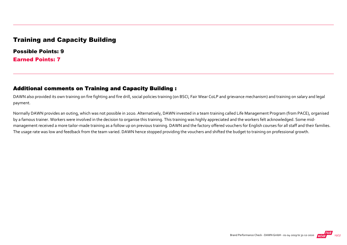### Training and Capacity Building

Possible Points: 9 Earned Points: 7

#### Additional comments on Training and Capacity Building :

DAWN also provided its own training on fire fighting and fire drill, social policies training (on BSCI, Fair Wear CoLP and grievance mechanism) and training on salary and legal payment.

Normally DAWN provides an outing, which was not possible in 2020. Alternatively, DAWN invested in a team training called Life Management Program (from PACE), organised by a famous trainer. Workers were involved in the decision to organise this training. This training was highly appreciated and the workers felt acknowledged. Some midmanagement received a more tailor-made training as a follow up on previous training. DAWN and the factory offered vouchers for English courses for all staff and their families. The usage rate was low and feedback from the team varied. DAWN hence stopped providing the vouchers and shifted the budget to training on professional growth.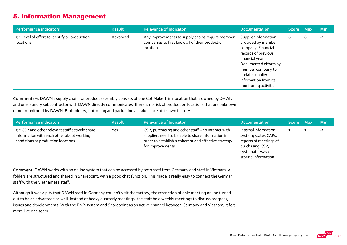## 5. Information Management

| Performance indicators                                       | <b>Result</b> | <b>Relevance of Indicator</b>                                                                                     | <b>Documentation</b>                                                                                                                                                                                                          | Score Max |   | <b>Min</b> |
|--------------------------------------------------------------|---------------|-------------------------------------------------------------------------------------------------------------------|-------------------------------------------------------------------------------------------------------------------------------------------------------------------------------------------------------------------------------|-----------|---|------------|
| 5.1 Level of effort to identify all production<br>locations. | Advanced      | Any improvements to supply chains require member<br>companies to first know all of their production<br>locations. | Supplier information<br>provided by member<br>company. Financial<br>records of previous<br>financial year.<br>Documented efforts by<br>member company to<br>update supplier<br>information from its<br>monitoring activities. | 6         | 6 | $-2$       |

Comment: As DAWN's supply chain for product assembly consists of one Cut Make Trim location that is owned by DAWN and one laundry subcontractor with DAWN directly communicates, there is no risk of production locations that are unknown or not monitored by DAWN. Embroidery, buttoning and packaging all take place at its own factory.

| Performance indicators                                                                                                              | <b>Result</b> | <b>Relevance of Indicator</b>                                                                                                                                                       | <b>Documentation</b>                                                                                                                   | Score Max | <b>Min</b> |
|-------------------------------------------------------------------------------------------------------------------------------------|---------------|-------------------------------------------------------------------------------------------------------------------------------------------------------------------------------------|----------------------------------------------------------------------------------------------------------------------------------------|-----------|------------|
| 5.2 CSR and other relevant staff actively share<br>information with each other about working<br>conditions at production locations. | Yes           | CSR, purchasing and other staff who interact with<br>suppliers need to be able to share information in<br>order to establish a coherent and effective strategy<br>for improvements. | Internal information<br>system; status CAPs,<br>reports of meetings of<br>purchasing/CSR;<br>systematic way of<br>storing information. |           | $-1$       |

Comment: DAWN works with an online system that can be accessed by both staff from Germany and staff in Vietnam. All folders are structured and shared in Sharepoint, with a good chat function. This made it really easy to connect the German staff with the Vietnamese staff.

Although it was a pity that DAWN staff in Germany couldn't visit the factory, the restriction of only meeting online turned out to be an advantage as well. Instead of heavy quarterly meetings, the staff held weekly meetings to discuss progress, issues and developments. With the ENP‐system and Sharepoint as an active channel between Germany and Vietnam, it felt more like one team.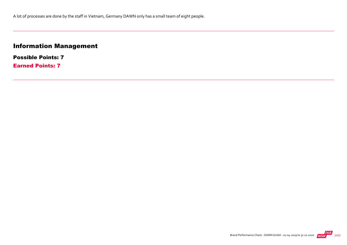## Information Management

Possible Points: 7 Earned Points: 7

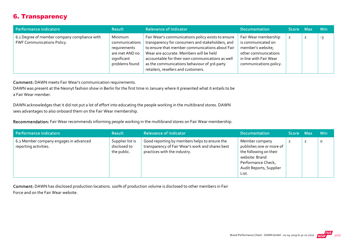## 6. Transparency

| Performance indicators                                                            | <b>Result</b>                                                                                | <b>Relevance of Indicator</b>                                                                                                                                                                                                                                                                                                                   | <b>Documentation</b>                                                                                                                        | Score Max | <b>Min</b> |
|-----------------------------------------------------------------------------------|----------------------------------------------------------------------------------------------|-------------------------------------------------------------------------------------------------------------------------------------------------------------------------------------------------------------------------------------------------------------------------------------------------------------------------------------------------|---------------------------------------------------------------------------------------------------------------------------------------------|-----------|------------|
| 6.1 Degree of member company compliance with<br><b>FWF Communications Policy.</b> | Minimum<br>communications<br>requirements<br>are met AND no<br>significant<br>problems found | Fair Wear's communications policy exists to ensure<br>transparency for consumers and stakeholders, and<br>to ensure that member communications about Fair<br>Wear are accurate. Members will be held<br>accountable for their own communications as well<br>as the communications behaviour of 3rd-party<br>retailers, resellers and customers. | Fair Wear membership<br>is communicated on<br>member's website;<br>other communications<br>in line with Fair Wear<br>communications policy. |           | -3         |

Comment: DAWN meets Fair Wear's communication requirements.

DAWN was present at the Neonyt fashion show in Berlin for the first time in January where it presented what it entails to be a Fair Wear member.

DAWN acknowledges that it did not put a lot of effort into educating the people working in the multibrand stores. DAWN sees advantages to also onboard them on the Fair Wear membership.

Recommendation: Fair Wear recommends informing people working in the multibrand stores on Fair Wear membership.

| Performance indicators                                          | <b>Result</b>                                   | <b>Relevance of Indicator</b>                                                                                                     | <b>Documentation</b>                                                                                                                             | Score Max |                | <b>Min</b> |
|-----------------------------------------------------------------|-------------------------------------------------|-----------------------------------------------------------------------------------------------------------------------------------|--------------------------------------------------------------------------------------------------------------------------------------------------|-----------|----------------|------------|
| 6.2 Member company engages in advanced<br>reporting activities. | Supplier list is<br>disclosed to<br>the public. | Good reporting by members helps to ensure the<br>transparency of Fair Wear's work and shares best<br>practices with the industry. | Member company<br>publishes one or more of<br>the following on their<br>website: Brand<br>Performance Check,<br>Audit Reports, Supplier<br>List. |           | $\overline{2}$ | $\circ$    |

Comment: DAWN has disclosed production locations. 100% of production volume is disclosed to other members in Fair Force and on the Fair Wear website.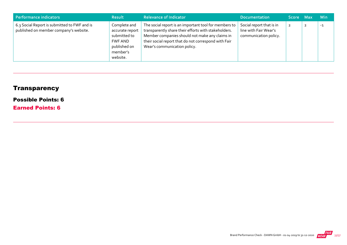| Performance indicators                                                                 | <b>Result</b>                                                                                      | <b>Relevance of Indicator</b>                                                                                                                                                                                                                           | <b>Documentation</b>                                                       | Score Max      | <b>Min</b> |
|----------------------------------------------------------------------------------------|----------------------------------------------------------------------------------------------------|---------------------------------------------------------------------------------------------------------------------------------------------------------------------------------------------------------------------------------------------------------|----------------------------------------------------------------------------|----------------|------------|
| 6.3 Social Report is submitted to FWF and is<br>published on member company's website. | Complete and<br>accurate report<br>submitted to<br>FWF AND<br>published on<br>member's<br>website. | The social report is an important tool for members to<br>transparently share their efforts with stakeholders.<br>Member companies should not make any claims in<br>their social report that do not correspond with Fair<br>Wear's communication policy. | Social report that is in<br>line with Fair Wear's<br>communication policy. | $\overline{2}$ | $-1$       |

## **Transparency**

### Possible Points: 6

Earned Points: 6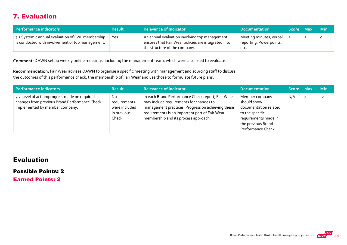## 7. Evaluation

| Performance indicators                                                                               | <b>Result</b> | <b>Relevance of Indicator</b>                                                                                                         | <b>Documentation</b>                                       | Score Max |                | – Min   |
|------------------------------------------------------------------------------------------------------|---------------|---------------------------------------------------------------------------------------------------------------------------------------|------------------------------------------------------------|-----------|----------------|---------|
| 7.1 Systemic annual evaluation of FWF membership<br>is conducted with involvement of top management. | Yes           | An annual evaluation involving top management<br>ensures that Fair Wear policies are integrated into<br>the structure of the company. | Meeting minutes, verbal<br>reporting, Powerpoints,<br>etc. |           | $\overline{2}$ | $\circ$ |

Comment: DAWN set up weekly online meetings, including the management team, which were also used to evaluate.

Recommendation: Fair Wear advises DAWN to organise a specific meeting with management and sourcing staff to discuss the outcomes of this performance check, the membership of Fair Wear and use those to formulate future plans.

| Performance indicators                                                                                                           | <b>Result</b>                                                | <b>Relevance of Indicator</b>                                                                                                                                                                                                               | <b>Documentation</b>                                                                                                                          | Score Max |   | <b>Min</b> |
|----------------------------------------------------------------------------------------------------------------------------------|--------------------------------------------------------------|---------------------------------------------------------------------------------------------------------------------------------------------------------------------------------------------------------------------------------------------|-----------------------------------------------------------------------------------------------------------------------------------------------|-----------|---|------------|
| 7.2 Level of action/progress made on required<br>changes from previous Brand Performance Check<br>implemented by member company. | No.<br>requirements<br>were included<br>in previous<br>Check | In each Brand Performance Check report, Fair Wear<br>may include requirements for changes to<br>management practices. Progress on achieving these<br>requirements is an important part of Fair Wear<br>membership and its process approach. | Member company<br>should show<br>documentation related<br>to the specific<br>requirements made in<br>the previous Brand<br>Performance Check. | N/A       | 4 | $-2$       |

### Evaluation

#### Possible Points: 2

Earned Points: 2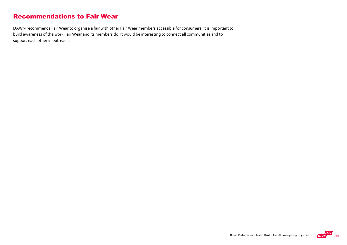## Recommendations to Fair Wear

DAWN recommends Fair Wear to organise a fair with other Fair Wear members accessible for consumers. It is important to build awareness of the work Fair Wear and its members do. It would be interesting to connect all communities and to support each other in outreach.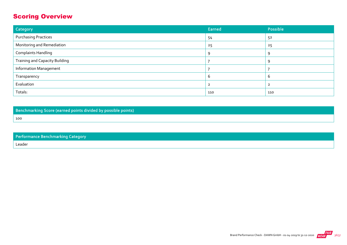## Scoring Overview

| Category                              | Earned | Possible |
|---------------------------------------|--------|----------|
| <b>Purchasing Practices</b>           | 54     | 52       |
| Monitoring and Remediation            | 25     | 25       |
| <b>Complaints Handling</b>            | q      | Q        |
| <b>Training and Capacity Building</b> |        | Q        |
| <b>Information Management</b>         |        |          |
| Transparency                          | b      | b        |
| Evaluation                            |        |          |
| Totals:                               | 110    | 110      |

Benchmarking Score (earned points divided by possible points)

Performance Benchmarking Category

Leader

100